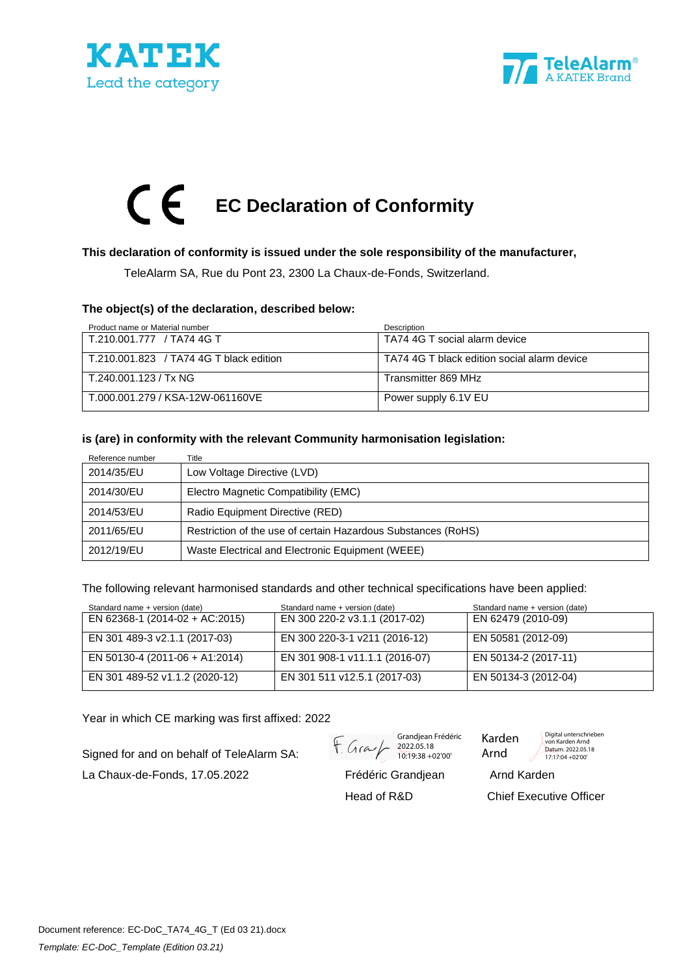





### **This declaration of conformity is issued under the sole responsibility of the manufacturer,**

TeleAlarm SA, Rue du Pont 23, 2300 La Chaux-de-Fonds, Switzerland.

#### **The object(s) of the declaration, described below:**

| Product name or Material number         | Description                                 |
|-----------------------------------------|---------------------------------------------|
| T.210.001.777 / TA74 4G T               | TA74 4G T social alarm device               |
| T.210.001.823 / TA74 4G T black edition | TA74 4G T black edition social alarm device |
| T.240.001.123 / Tx NG                   | Transmitter 869 MHz                         |
| T.000.001.279 / KSA-12W-061160VE        | Power supply 6.1V EU                        |

#### **is (are) in conformity with the relevant Community harmonisation legislation:**

| Reference number | Title                                                         |
|------------------|---------------------------------------------------------------|
| 2014/35/EU       | Low Voltage Directive (LVD)                                   |
| 2014/30/EU       | Electro Magnetic Compatibility (EMC)                          |
| 2014/53/EU       | Radio Equipment Directive (RED)                               |
| 2011/65/EU       | Restriction of the use of certain Hazardous Substances (RoHS) |
| 2012/19/EU       | Waste Electrical and Electronic Equipment (WEEE)              |

The following relevant harmonised standards and other technical specifications have been applied:

| Standard name + version (date) | Standard name + version (date) | Standard name + version (date) |
|--------------------------------|--------------------------------|--------------------------------|
| EN 62368-1 (2014-02 + AC:2015) | EN 300 220-2 v3.1.1 (2017-02)  | EN 62479 (2010-09)             |
| EN 301 489-3 v2.1.1 (2017-03)  | EN 300 220-3-1 v211 (2016-12)  | EN 50581 (2012-09)             |
| EN 50130-4 (2011-06 + A1:2014) | EN 301 908-1 v11.1.1 (2016-07) | EN 50134-2 (2017-11)           |
| EN 301 489-52 v1.1.2 (2020-12) | EN 301 511 v12.5.1 (2017-03)   | EN 50134-3 (2012-04)           |

Year in which CE marking was first affixed: 2022

Signed for and on behalf of TeleAlarm SA:

La Chaux-de-Fonds, 17.05.2022 Frédéric Grandjean Arnd Karden

Grandjean Frédéric 2022.05.18 10:19:38 +02'00'

Karden Arnd

Digital unterschrieben von Karden Arnd

Datum: 2022.05.18 17:17:04 +02'00'

Head of R&D Chief Executive Officer

Document reference: EC-DoC\_TA74\_4G\_T (Ed 03 21).docx *Template: EC-DoC\_Template (Edition 03.21)*